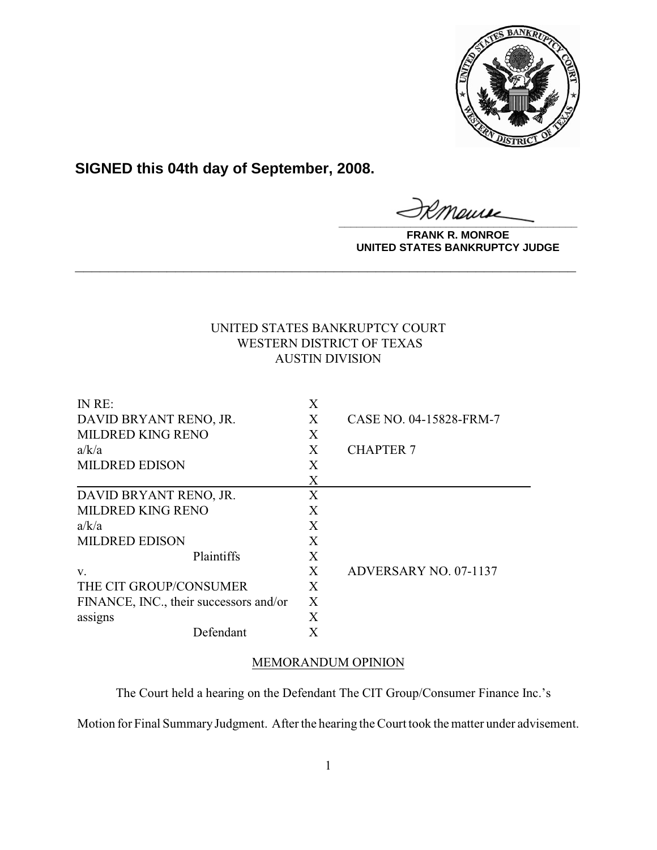

**SIGNED this 04th day of September, 2008.**

**\_\_\_\_\_\_\_\_\_\_\_\_\_\_\_\_\_\_\_\_\_\_\_\_\_\_\_\_\_\_\_\_\_\_\_\_\_\_\_\_**

**FRANK R. MONROE UNITED STATES BANKRUPTCY JUDGE**

# UNITED STATES BANKRUPTCY COURT WESTERN DISTRICT OF TEXAS AUSTIN DIVISION

**\_\_\_\_\_\_\_\_\_\_\_\_\_\_\_\_\_\_\_\_\_\_\_\_\_\_\_\_\_\_\_\_\_\_\_\_\_\_\_\_\_\_\_\_\_\_\_\_\_\_\_\_\_\_\_\_\_\_\_\_**

| IN RE:                                 | Χ |                         |
|----------------------------------------|---|-------------------------|
| DAVID BRYANT RENO, JR.                 | X | CASE NO. 04-15828-FRM-7 |
| <b>MILDRED KING RENO</b>               | X |                         |
| a/k/a                                  | X | <b>CHAPTER 7</b>        |
| <b>MILDRED EDISON</b>                  | X |                         |
|                                        | X |                         |
| DAVID BRYANT RENO, JR.                 | X |                         |
| <b>MILDRED KING RENO</b>               | X |                         |
| a/k/a                                  | X |                         |
| <b>MILDRED EDISON</b>                  | X |                         |
| Plaintiffs                             | X |                         |
| V.                                     | X | ADVERSARY NO. 07-1137   |
| THE CIT GROUP/CONSUMER                 | X |                         |
| FINANCE, INC., their successors and/or | X |                         |
| assigns                                | X |                         |
| Defendant                              |   |                         |

# MEMORANDUM OPINION

The Court held a hearing on the Defendant The CIT Group/Consumer Finance Inc.'s

Motion for Final Summary Judgment. After the hearing the Court took the matter under advisement.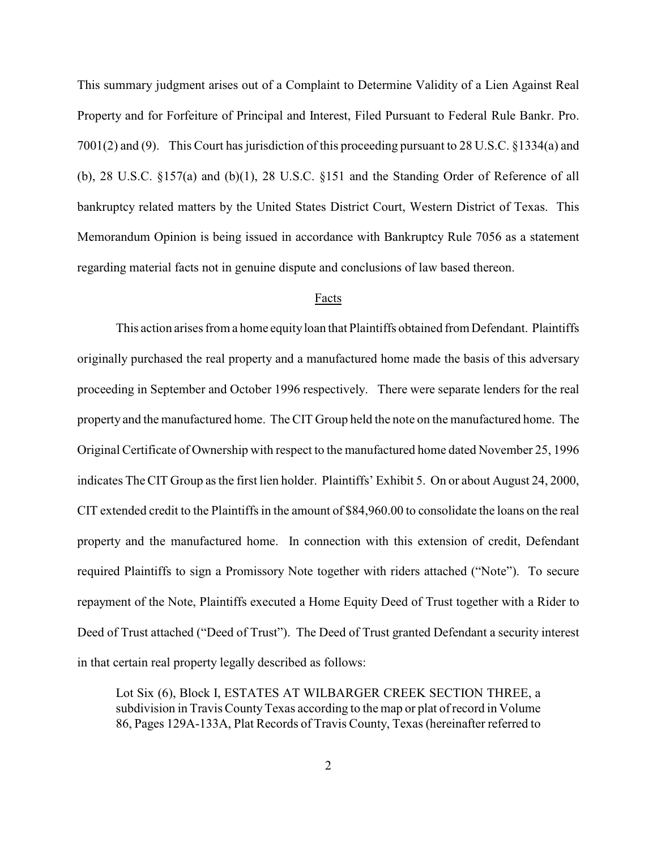This summary judgment arises out of a Complaint to Determine Validity of a Lien Against Real Property and for Forfeiture of Principal and Interest, Filed Pursuant to Federal Rule Bankr. Pro. 7001(2) and (9). This Court has jurisdiction of this proceeding pursuant to 28 U.S.C. §1334(a) and (b), 28 U.S.C. §157(a) and (b)(1), 28 U.S.C. §151 and the Standing Order of Reference of all bankruptcy related matters by the United States District Court, Western District of Texas. This Memorandum Opinion is being issued in accordance with Bankruptcy Rule 7056 as a statement regarding material facts not in genuine dispute and conclusions of law based thereon.

## Facts

This action arises from a home equity loan that Plaintiffs obtained from Defendant. Plaintiffs originally purchased the real property and a manufactured home made the basis of this adversary proceeding in September and October 1996 respectively. There were separate lenders for the real property and the manufactured home. The CIT Group held the note on the manufactured home. The Original Certificate of Ownership with respect to the manufactured home dated November 25, 1996 indicates The CIT Group as the first lien holder. Plaintiffs' Exhibit 5. On or about August 24, 2000, CIT extended credit to the Plaintiffs in the amount of \$84,960.00 to consolidate the loans on the real property and the manufactured home. In connection with this extension of credit, Defendant required Plaintiffs to sign a Promissory Note together with riders attached ("Note"). To secure repayment of the Note, Plaintiffs executed a Home Equity Deed of Trust together with a Rider to Deed of Trust attached ("Deed of Trust"). The Deed of Trust granted Defendant a security interest in that certain real property legally described as follows:

Lot Six (6), Block I, ESTATES AT WILBARGER CREEK SECTION THREE, a subdivision in Travis County Texas according to the map or plat of record in Volume 86, Pages 129A-133A, Plat Records of Travis County, Texas (hereinafter referred to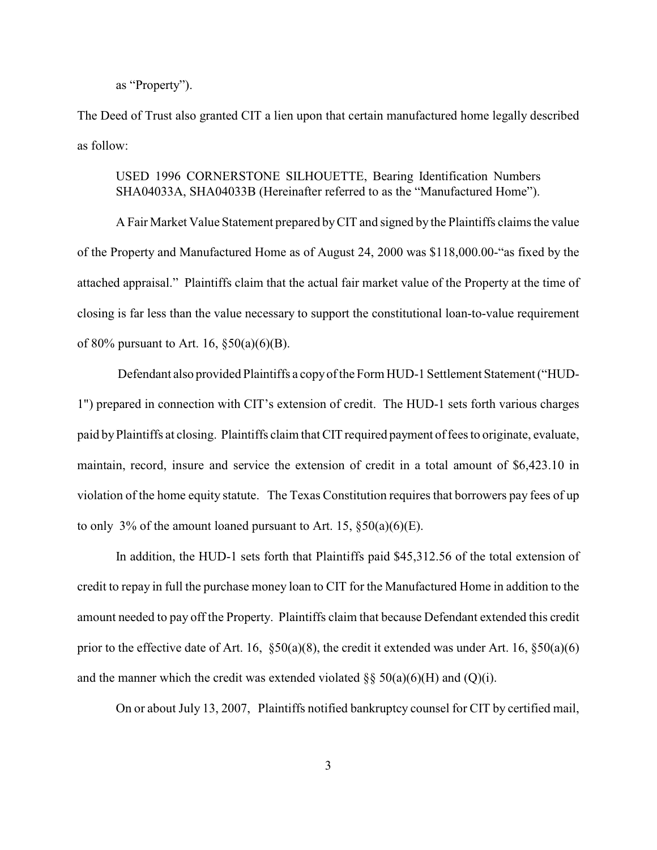## as "Property").

The Deed of Trust also granted CIT a lien upon that certain manufactured home legally described as follow:

## USED 1996 CORNERSTONE SILHOUETTE, Bearing Identification Numbers SHA04033A, SHA04033B (Hereinafter referred to as the "Manufactured Home").

A Fair Market Value Statement prepared byCIT and signed by the Plaintiffs claims the value of the Property and Manufactured Home as of August 24, 2000 was \$118,000.00-"as fixed by the attached appraisal." Plaintiffs claim that the actual fair market value of the Property at the time of closing is far less than the value necessary to support the constitutional loan-to-value requirement of 80% pursuant to Art. 16,  $\S 50(a)(6)(B)$ .

 Defendant also provided Plaintiffs a copy of the Form HUD-1 Settlement Statement ("HUD-1") prepared in connection with CIT's extension of credit. The HUD-1 sets forth various charges paid by Plaintiffs at closing. Plaintiffs claim that CIT required payment of fees to originate, evaluate, maintain, record, insure and service the extension of credit in a total amount of \$6,423.10 in violation of the home equity statute. The Texas Constitution requires that borrowers pay fees of up to only 3% of the amount loaned pursuant to Art. 15,  $\S50(a)(6)(E)$ .

In addition, the HUD-1 sets forth that Plaintiffs paid \$45,312.56 of the total extension of credit to repay in full the purchase money loan to CIT for the Manufactured Home in addition to the amount needed to pay off the Property. Plaintiffs claim that because Defendant extended this credit prior to the effective date of Art. 16,  $\S50(a)(8)$ , the credit it extended was under Art. 16,  $\S50(a)(6)$ and the manner which the credit was extended violated  $\S$ § 50(a)(6)(H) and (Q)(i).

On or about July 13, 2007, Plaintiffs notified bankruptcy counsel for CIT by certified mail,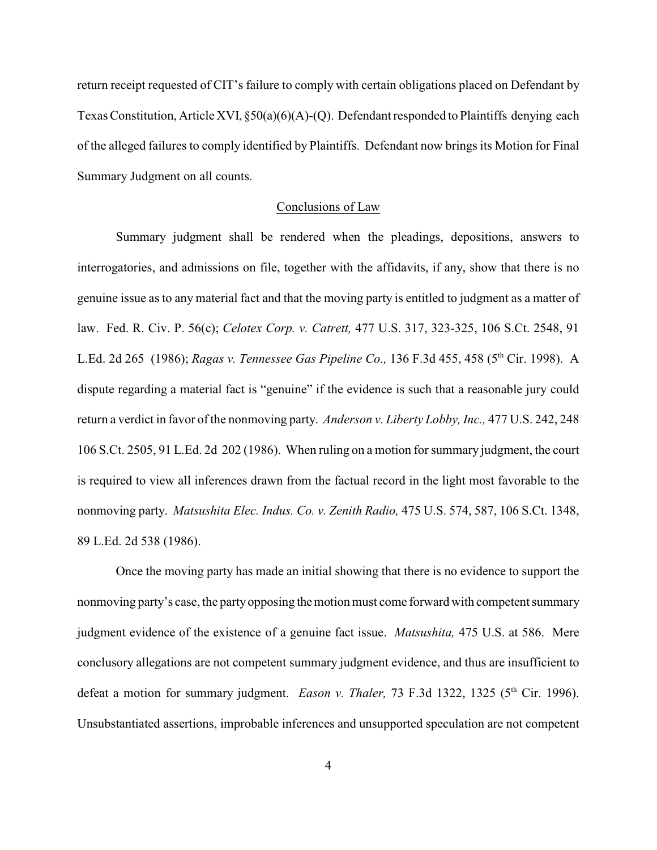return receipt requested of CIT's failure to comply with certain obligations placed on Defendant by Texas Constitution, Article XVI,  $\S50(a)(6)(A)$ -(Q). Defendant responded to Plaintiffs denying each of the alleged failures to comply identified by Plaintiffs. Defendant now brings its Motion for Final Summary Judgment on all counts.

## Conclusions of Law

Summary judgment shall be rendered when the pleadings, depositions, answers to interrogatories, and admissions on file, together with the affidavits, if any, show that there is no genuine issue as to any material fact and that the moving party is entitled to judgment as a matter of law. Fed. R. Civ. P. 56(c); *Celotex Corp. v. Catrett,* 477 U.S. 317, 323-325, 106 S.Ct. 2548, 91 L.Ed. 2d 265 (1986); *Ragas v. Tennessee Gas Pipeline Co.*, 136 F.3d 455, 458 (5<sup>th</sup> Cir. 1998). A dispute regarding a material fact is "genuine" if the evidence is such that a reasonable jury could return a verdict in favor of the nonmoving party. *Anderson v. Liberty Lobby, Inc.,* 477 U.S. 242, 248 106 S.Ct. 2505, 91 L.Ed. 2d 202 (1986). When ruling on a motion for summary judgment, the court is required to view all inferences drawn from the factual record in the light most favorable to the nonmoving party. *Matsushita Elec. Indus. Co. v. Zenith Radio,* 475 U.S. 574, 587, 106 S.Ct. 1348, 89 L.Ed. 2d 538 (1986).

Once the moving party has made an initial showing that there is no evidence to support the nonmoving party's case, the party opposing the motion must come forward with competent summary judgment evidence of the existence of a genuine fact issue. *Matsushita,* 475 U.S. at 586. Mere conclusory allegations are not competent summary judgment evidence, and thus are insufficient to defeat a motion for summary judgment. *Eason v. Thaler*, 73 F.3d 1322, 1325 (5<sup>th</sup> Cir. 1996). Unsubstantiated assertions, improbable inferences and unsupported speculation are not competent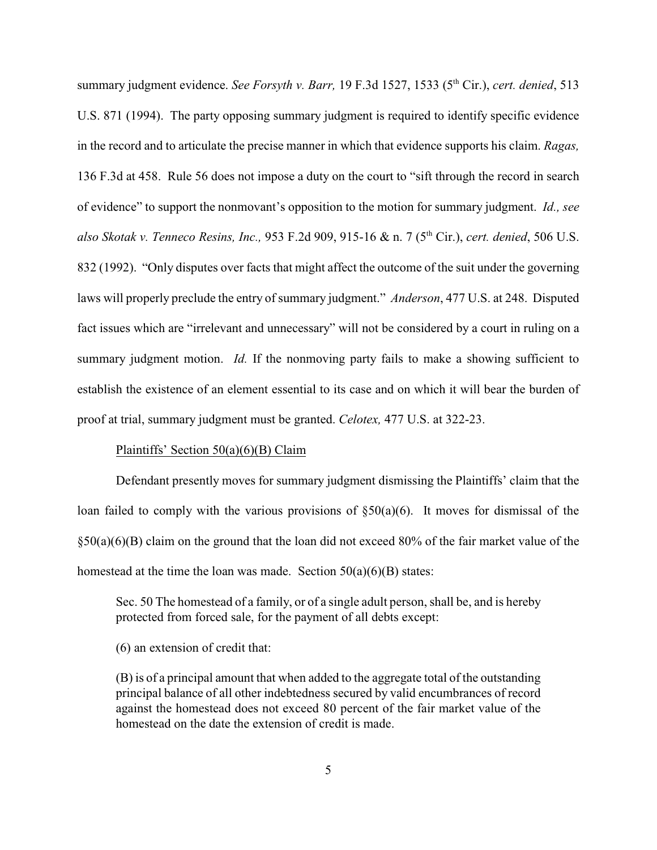summary judgment evidence. *See Forsyth v. Barr*, 19 F.3d 1527, 1533 (5<sup>th</sup> Cir.), *cert. denied*, 513 U.S. 871 (1994). The party opposing summary judgment is required to identify specific evidence in the record and to articulate the precise manner in which that evidence supports his claim. *Ragas,* 136 F.3d at 458. Rule 56 does not impose a duty on the court to "sift through the record in search of evidence" to support the nonmovant's opposition to the motion for summary judgment. *Id., see also Skotak v. Tenneco Resins, Inc., 953 F.2d 909, 915-16 & n. 7 (5<sup>th</sup> Cir.), <i>cert. denied*, 506 U.S. 832 (1992). "Only disputes over facts that might affect the outcome of the suit under the governing laws will properly preclude the entry of summary judgment." *Anderson*, 477 U.S. at 248. Disputed fact issues which are "irrelevant and unnecessary" will not be considered by a court in ruling on a summary judgment motion. *Id.* If the nonmoving party fails to make a showing sufficient to establish the existence of an element essential to its case and on which it will bear the burden of proof at trial, summary judgment must be granted. *Celotex,* 477 U.S. at 322-23.

## Plaintiffs' Section 50(a)(6)(B) Claim

Defendant presently moves for summary judgment dismissing the Plaintiffs' claim that the loan failed to comply with the various provisions of  $\S50(a)(6)$ . It moves for dismissal of the §50(a)(6)(B) claim on the ground that the loan did not exceed 80% of the fair market value of the homestead at the time the loan was made. Section  $50(a)(6)(B)$  states:

Sec. 50 The homestead of a family, or of a single adult person, shall be, and is hereby protected from forced sale, for the payment of all debts except:

(6) an extension of credit that:

(B) is of a principal amount that when added to the aggregate total of the outstanding principal balance of all other indebtedness secured by valid encumbrances of record against the homestead does not exceed 80 percent of the fair market value of the homestead on the date the extension of credit is made.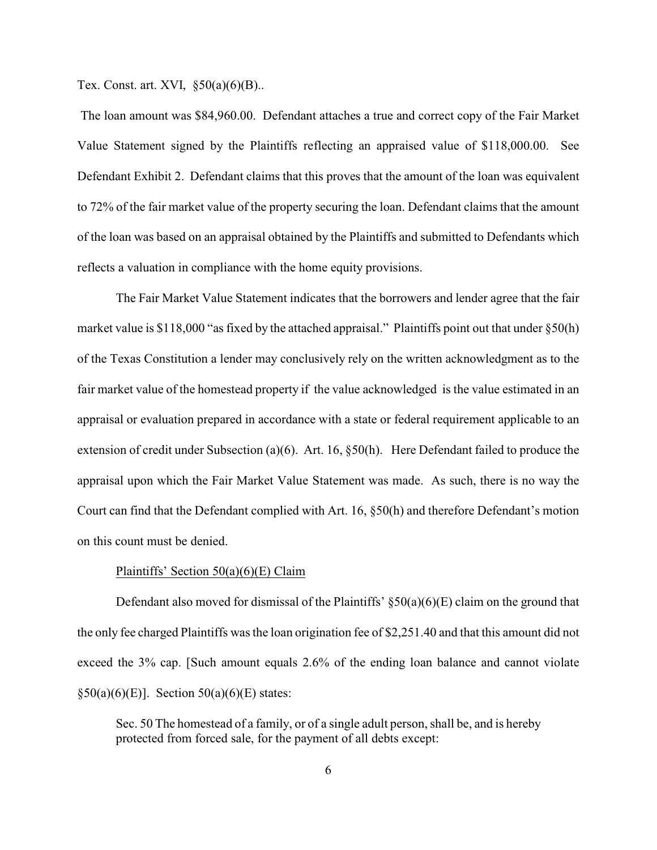Tex. Const. art. XVI, §50(a)(6)(B)..

 The loan amount was \$84,960.00. Defendant attaches a true and correct copy of the Fair Market Value Statement signed by the Plaintiffs reflecting an appraised value of \$118,000.00. See Defendant Exhibit 2. Defendant claims that this proves that the amount of the loan was equivalent to 72% of the fair market value of the property securing the loan. Defendant claims that the amount of the loan was based on an appraisal obtained by the Plaintiffs and submitted to Defendants which reflects a valuation in compliance with the home equity provisions.

The Fair Market Value Statement indicates that the borrowers and lender agree that the fair market value is \$118,000 "as fixed by the attached appraisal." Plaintiffs point out that under  $\S 50(h)$ of the Texas Constitution a lender may conclusively rely on the written acknowledgment as to the fair market value of the homestead property if the value acknowledged is the value estimated in an appraisal or evaluation prepared in accordance with a state or federal requirement applicable to an extension of credit under Subsection (a)(6). Art. 16, §50(h). Here Defendant failed to produce the appraisal upon which the Fair Market Value Statement was made. As such, there is no way the Court can find that the Defendant complied with Art. 16, §50(h) and therefore Defendant's motion on this count must be denied.

#### Plaintiffs' Section 50(a)(6)(E) Claim

Defendant also moved for dismissal of the Plaintiffs'  $\S50(a)(6)(E)$  claim on the ground that the only fee charged Plaintiffs was the loan origination fee of \$2,251.40 and that this amount did not exceed the 3% cap. [Such amount equals 2.6% of the ending loan balance and cannot violate  $§50(a)(6)(E)$ . Section  $50(a)(6)(E)$  states:

Sec. 50 The homestead of a family, or of a single adult person, shall be, and is hereby protected from forced sale, for the payment of all debts except: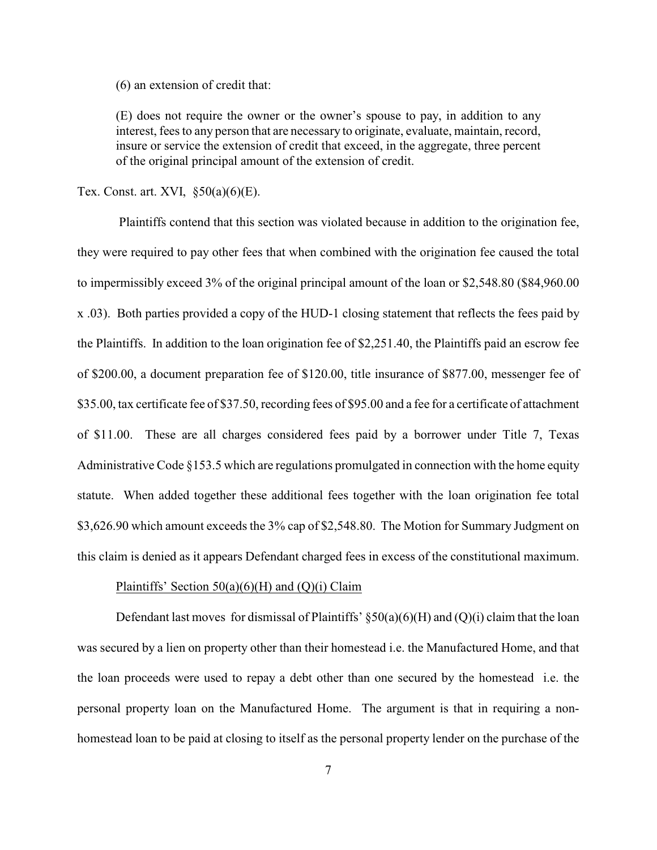(6) an extension of credit that:

(E) does not require the owner or the owner's spouse to pay, in addition to any interest, fees to any person that are necessary to originate, evaluate, maintain, record, insure or service the extension of credit that exceed, in the aggregate, three percent of the original principal amount of the extension of credit.

Tex. Const. art. XVI,  $\S50(a)(6)(E)$ .

 Plaintiffs contend that this section was violated because in addition to the origination fee, they were required to pay other fees that when combined with the origination fee caused the total to impermissibly exceed 3% of the original principal amount of the loan or \$2,548.80 (\$84,960.00 x .03). Both parties provided a copy of the HUD-1 closing statement that reflects the fees paid by the Plaintiffs. In addition to the loan origination fee of \$2,251.40, the Plaintiffs paid an escrow fee of \$200.00, a document preparation fee of \$120.00, title insurance of \$877.00, messenger fee of \$35.00, tax certificate fee of \$37.50, recording fees of \$95.00 and a fee for a certificate of attachment of \$11.00. These are all charges considered fees paid by a borrower under Title 7, Texas Administrative Code §153.5 which are regulations promulgated in connection with the home equity statute. When added together these additional fees together with the loan origination fee total \$3,626.90 which amount exceeds the 3% cap of \$2,548.80. The Motion for Summary Judgment on this claim is denied as it appears Defendant charged fees in excess of the constitutional maximum.

### Plaintiffs' Section  $50(a)(6)(H)$  and  $(Q)(i)$  Claim

Defendant last moves for dismissal of Plaintiffs'  $\S50(a)(6)(H)$  and  $(Q)(i)$  claim that the loan was secured by a lien on property other than their homestead i.e. the Manufactured Home, and that the loan proceeds were used to repay a debt other than one secured by the homestead i.e. the personal property loan on the Manufactured Home. The argument is that in requiring a nonhomestead loan to be paid at closing to itself as the personal property lender on the purchase of the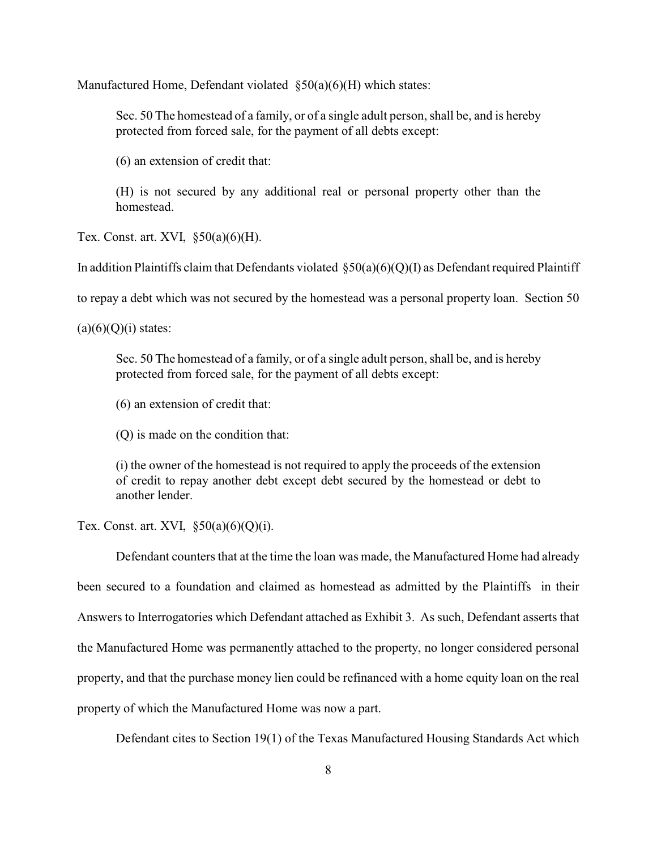Manufactured Home, Defendant violated §50(a)(6)(H) which states:

Sec. 50 The homestead of a family, or of a single adult person, shall be, and is hereby protected from forced sale, for the payment of all debts except:

(6) an extension of credit that:

(H) is not secured by any additional real or personal property other than the homestead.

Tex. Const. art. XVI,  $\S50(a)(6)(H)$ .

In addition Plaintiffs claim that Defendants violated  $\S50(a)(6)(Q)(I)$  as Defendant required Plaintiff

to repay a debt which was not secured by the homestead was a personal property loan. Section 50

 $(a)(6)(Q)(i)$  states:

Sec. 50 The homestead of a family, or of a single adult person, shall be, and is hereby protected from forced sale, for the payment of all debts except:

(6) an extension of credit that:

(Q) is made on the condition that:

(i) the owner of the homestead is not required to apply the proceeds of the extension of credit to repay another debt except debt secured by the homestead or debt to another lender.

Tex. Const. art. XVI,  $\S50(a)(6)(Q)(i)$ .

Defendant counters that at the time the loan was made, the Manufactured Home had already been secured to a foundation and claimed as homestead as admitted by the Plaintiffs in their Answers to Interrogatories which Defendant attached as Exhibit 3. As such, Defendant asserts that the Manufactured Home was permanently attached to the property, no longer considered personal property, and that the purchase money lien could be refinanced with a home equity loan on the real property of which the Manufactured Home was now a part.

Defendant cites to Section 19(1) of the Texas Manufactured Housing Standards Act which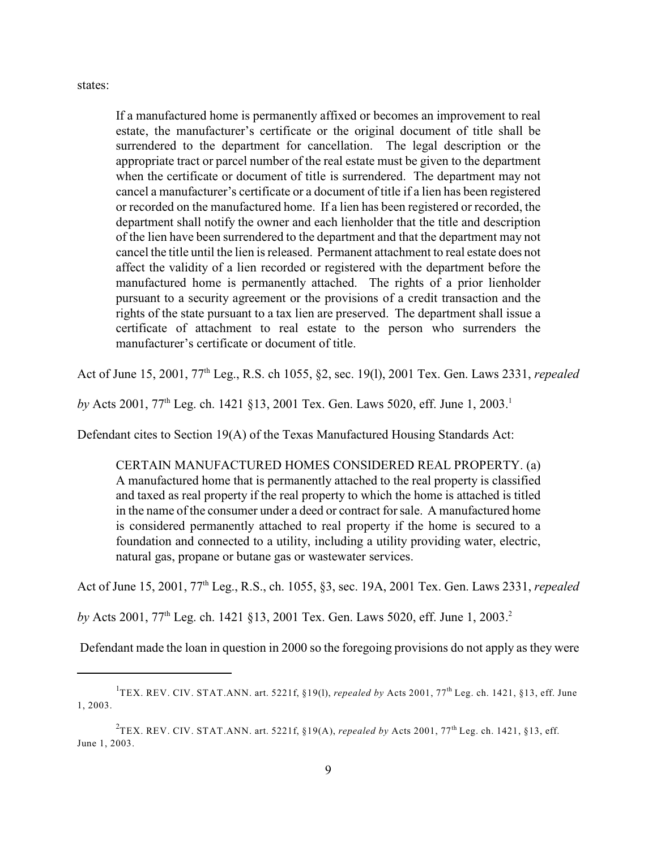states:

If a manufactured home is permanently affixed or becomes an improvement to real estate, the manufacturer's certificate or the original document of title shall be surrendered to the department for cancellation. The legal description or the appropriate tract or parcel number of the real estate must be given to the department when the certificate or document of title is surrendered. The department may not cancel a manufacturer's certificate or a document of title if a lien has been registered or recorded on the manufactured home. If a lien has been registered or recorded, the department shall notify the owner and each lienholder that the title and description of the lien have been surrendered to the department and that the department may not cancel the title until the lien is released. Permanent attachment to real estate does not affect the validity of a lien recorded or registered with the department before the manufactured home is permanently attached. The rights of a prior lienholder pursuant to a security agreement or the provisions of a credit transaction and the rights of the state pursuant to a tax lien are preserved. The department shall issue a certificate of attachment to real estate to the person who surrenders the manufacturer's certificate or document of title.

Act of June 15, 2001, 77<sup>th</sup> Leg., R.S. ch 1055, §2, sec. 19(1), 2001 Tex. Gen. Laws 2331, *repealed* 

*by* Acts 2001, 77<sup>th</sup> Leg. ch. 1421 §13, 2001 Tex. Gen. Laws 5020, eff. June 1, 2003.<sup>1</sup>

Defendant cites to Section 19(A) of the Texas Manufactured Housing Standards Act:

CERTAIN MANUFACTURED HOMES CONSIDERED REAL PROPERTY. (a) A manufactured home that is permanently attached to the real property is classified and taxed as real property if the real property to which the home is attached is titled in the name of the consumer under a deed or contract for sale. A manufactured home is considered permanently attached to real property if the home is secured to a foundation and connected to a utility, including a utility providing water, electric, natural gas, propane or butane gas or wastewater services.

Act of June 15, 2001, 77<sup>th</sup> Leg., R.S., ch. 1055, §3, sec. 19A, 2001 Tex. Gen. Laws 2331, *repealed* 

*by* Acts 2001, 77<sup>th</sup> Leg. ch. 1421 §13, 2001 Tex. Gen. Laws 5020, eff. June 1, 2003.<sup>2</sup>

Defendant made the loan in question in 2000 so the foregoing provisions do not apply as they were

<sup>&</sup>lt;sup>1</sup>TEX. REV. CIV. STAT.ANN. art. 5221f, §19(1), *repealed by* Acts 2001, 77<sup>th</sup> Leg. ch. 1421, §13, eff. June 1, 2003.

<sup>&</sup>lt;sup>2</sup>TEX. REV. CIV. STAT.ANN. art. 5221f, §19(A), *repealed by* Acts 2001, 77<sup>th</sup> Leg. ch. 1421, §13, eff. June 1, 2003.